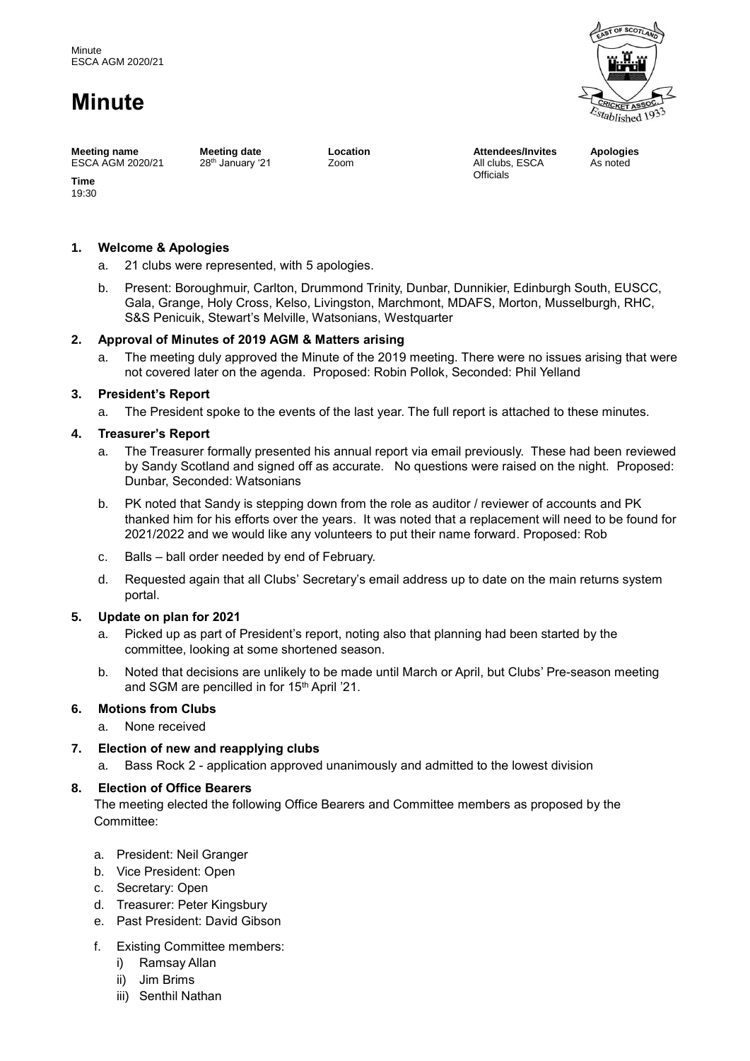# **Minute**



**Meeting name** ESCA AGM 2020/21

**Meeting date** 28<sup>th</sup> January '21 **Location** Zoom

**Attendees/Invites** All clubs, ESCA **Officials** 

**Apologies** As noted

**Time** 19:30

# **1. Welcome & Apologies**

- a. 21 clubs were represented, with 5 apologies.
- b. Present: Boroughmuir, Carlton, Drummond Trinity, Dunbar, Dunnikier, Edinburgh South, EUSCC, Gala, Grange, Holy Cross, Kelso, Livingston, Marchmont, MDAFS, Morton, Musselburgh, RHC, S&S Penicuik, Stewart's Melville, Watsonians, Westquarter

## **2. Approval of Minutes of 2019 AGM & Matters arising**

a. The meeting duly approved the Minute of the 2019 meeting. There were no issues arising that were not covered later on the agenda. Proposed: Robin Pollok, Seconded: Phil Yelland

#### **3. President's Report**

a. The President spoke to the events of the last year. The full report is attached to these minutes.

## **4. Treasurer's Report**

- a. The Treasurer formally presented his annual report via email previously. These had been reviewed by Sandy Scotland and signed off as accurate. No questions were raised on the night. Proposed: Dunbar, Seconded: Watsonians
- b. PK noted that Sandy is stepping down from the role as auditor / reviewer of accounts and PK thanked him for his efforts over the years. It was noted that a replacement will need to be found for 2021/2022 and we would like any volunteers to put their name forward. Proposed: Rob
- c. Balls ball order needed by end of February.
- d. Requested again that all Clubs' Secretary's email address up to date on the main returns system portal.

#### **5. Update on plan for 2021**

- a. Picked up as part of President's report, noting also that planning had been started by the committee, looking at some shortened season.
- b. Noted that decisions are unlikely to be made until March or April, but Clubs' Pre-season meeting and SGM are pencilled in for 15th April '21.

# **6. Motions from Clubs**

- a. None received
- **7. Election of new and reapplying clubs**
	- a. Bass Rock 2 application approved unanimously and admitted to the lowest division

# **8. Election of Office Bearers**

The meeting elected the following Office Bearers and Committee members as proposed by the Committee:

- a. President: Neil Granger
- b. Vice President: Open
- c. Secretary: Open
- d. Treasurer: Peter Kingsbury
- e. Past President: David Gibson
- f. Existing Committee members:
	- i) Ramsay Allan
	- ii) Jim Brims
	- iii) Senthil Nathan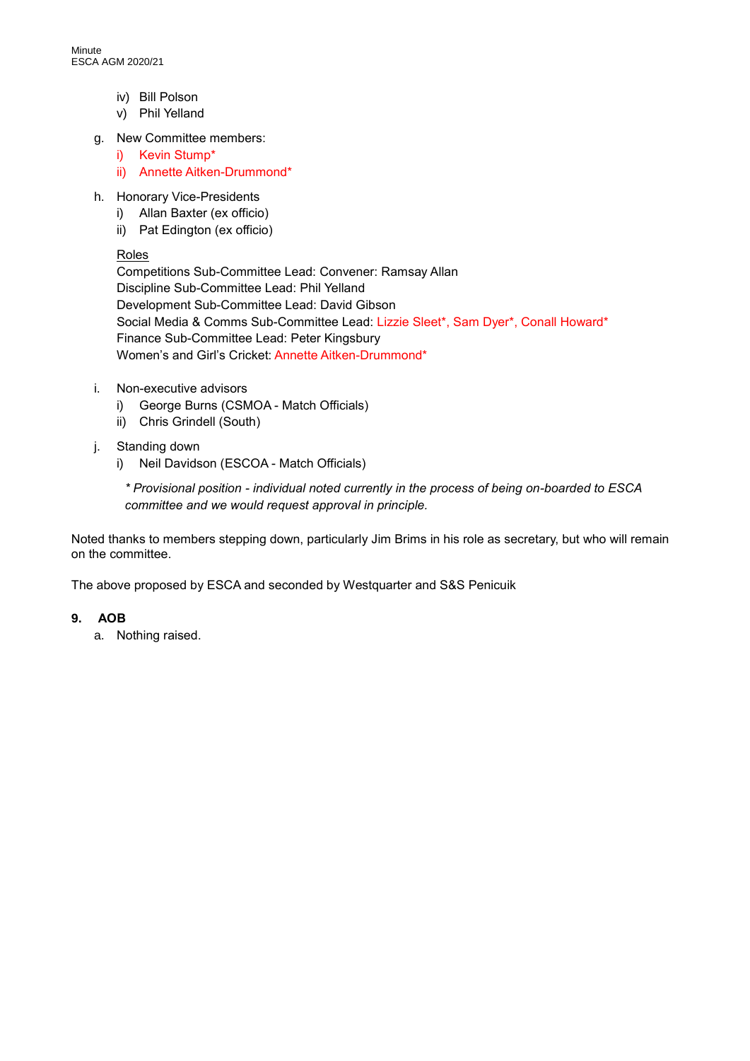- iv) Bill Polson
- v) Phil Yelland
- g. New Committee members:
	- i) Kevin Stump\*
	- ii) Annette Aitken-Drummond\*
- h. Honorary Vice-Presidents
	- i) Allan Baxter (ex officio)
	- ii) Pat Edington (ex officio)

## Roles

Competitions Sub-Committee Lead: Convener: Ramsay Allan Discipline Sub-Committee Lead: Phil Yelland Development Sub-Committee Lead: David Gibson Social Media & Comms Sub-Committee Lead: Lizzie Sleet\*, Sam Dyer\*, Conall Howard\* Finance Sub-Committee Lead: Peter Kingsbury Women's and Girl's Cricket: Annette Aitken-Drummond\*

- i. Non-executive advisors
	- i) George Burns (CSMOA Match Officials)
	- ii) Chris Grindell (South)
- j. Standing down
	- i) Neil Davidson (ESCOA Match Officials)

*\* Provisional position - individual noted currently in the process of being on-boarded to ESCA committee and we would request approval in principle.*

Noted thanks to members stepping down, particularly Jim Brims in his role as secretary, but who will remain on the committee.

The above proposed by ESCA and seconded by Westquarter and S&S Penicuik

# **9. AOB**

a. Nothing raised.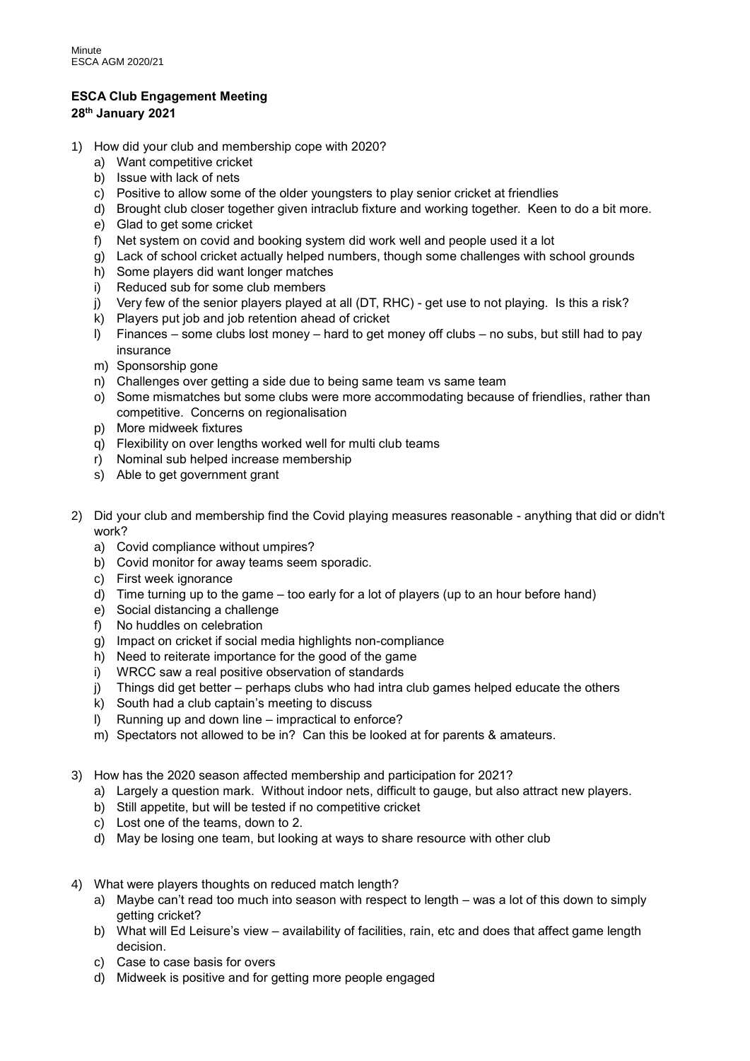# **ESCA Club Engagement Meeting**

# **28th January 2021**

- 1) How did your club and membership cope with 2020?
	- a) Want competitive cricket
	- b) Issue with lack of nets
	- c) Positive to allow some of the older youngsters to play senior cricket at friendlies
	- d) Brought club closer together given intraclub fixture and working together. Keen to do a bit more.
	- e) Glad to get some cricket
	- f) Net system on covid and booking system did work well and people used it a lot
	- g) Lack of school cricket actually helped numbers, though some challenges with school grounds
	- h) Some players did want longer matches
	- i) Reduced sub for some club members
	- j) Very few of the senior players played at all (DT, RHC) get use to not playing. Is this a risk?
	- k) Players put job and job retention ahead of cricket
	- l) Finances some clubs lost money hard to get money off clubs no subs, but still had to pay insurance
	- m) Sponsorship gone
	- n) Challenges over getting a side due to being same team vs same team
	- o) Some mismatches but some clubs were more accommodating because of friendlies, rather than competitive. Concerns on regionalisation
	- p) More midweek fixtures
	- q) Flexibility on over lengths worked well for multi club teams
	- r) Nominal sub helped increase membership
	- s) Able to get government grant
- 2) Did your club and membership find the Covid playing measures reasonable anything that did or didn't work?
	- a) Covid compliance without umpires?
	- b) Covid monitor for away teams seem sporadic.
	- c) First week ignorance
	- d) Time turning up to the game too early for a lot of players (up to an hour before hand)
	- e) Social distancing a challenge
	- f) No huddles on celebration
	- g) Impact on cricket if social media highlights non-compliance
	- h) Need to reiterate importance for the good of the game
	- i) WRCC saw a real positive observation of standards
	- j) Things did get better perhaps clubs who had intra club games helped educate the others
	- k) South had a club captain's meeting to discuss
	- l) Running up and down line impractical to enforce?
	- m) Spectators not allowed to be in? Can this be looked at for parents & amateurs.
- 3) How has the 2020 season affected membership and participation for 2021?
	- a) Largely a question mark. Without indoor nets, difficult to gauge, but also attract new players.
	- b) Still appetite, but will be tested if no competitive cricket
	- c) Lost one of the teams, down to 2.
	- d) May be losing one team, but looking at ways to share resource with other club
- 4) What were players thoughts on reduced match length?
	- a) Maybe can't read too much into season with respect to length was a lot of this down to simply getting cricket?
	- b) What will Ed Leisure's view availability of facilities, rain, etc and does that affect game length decision.
	- c) Case to case basis for overs
	- d) Midweek is positive and for getting more people engaged